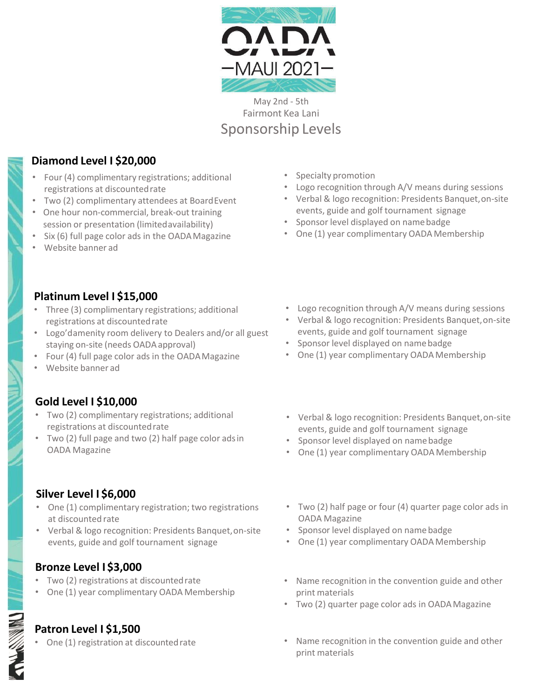

May 2nd - 5th Fairmont Kea Lani Sponsorship Levels

## **Diamond Level I \$20,000**

- Four (4) complimentary registrations; additional registrations at discounted rate
- Two (2) complimentary attendees at BoardEvent
- One hour non-commercial, break-out training session or presentation (limitedavailability)
- Six (6) full page color ads in the OADAMagazine
- Website banner ad
- Specialty promotion
- Logo recognition through A/V means during sessions
- Verbal & logo recognition: Presidents Banquet,on-site events, guide and golf tournament signage
- Sponsor level displayed on namebadge
- One (1) year complimentary OADA Membership

- **Platinum Level I \$15,000**
- Three (3) complimentary registrations; additional registrations at discountedrate
- Logo'damenity room delivery to Dealers and/or all guest staying on-site (needs OADAapproval)
- Four (4) full page color ads in the OADAMagazine
- Website banner ad

## **Gold Level I \$10,000**

- Two (2) complimentary registrations; additional registrations at discountedrate
- Two (2) full page and two (2) half page color adsin OADA Magazine

## **Silver Level I \$6,000**

- One (1) complimentary registration; two registrations at discounted rate
- Verbal & logo recognition: Presidents Banquet,on-site events, guide and golf tournament signage

### **Bronze Level I \$3,000**

- Two (2) registrations at discountedrate
- One (1) year complimentary OADA Membership

### **Patron Level I \$1,500**

One (1) registration at discounted rate

- Logo recognition through A/V means during sessions
- Verbal & logo recognition: Presidents Banquet,on-site events, guide and golf tournament signage
- Sponsor level displayed on namebadge
- One (1) year complimentary OADA Membership
- Verbal & logo recognition: Presidents Banquet,on-site events, guide and golf tournament signage
- Sponsor level displayed on namebadge
- One (1) year complimentary OADA Membership
- Two (2) half page or four (4) quarter page color ads in OADA Magazine
- Sponsor level displayed on namebadge
- One (1) year complimentary OADA Membership
- Name recognition in the convention guide and other print materials
- Two (2) quarter page color ads in OADA Magazine
- Name recognition in the convention guide and other print materials